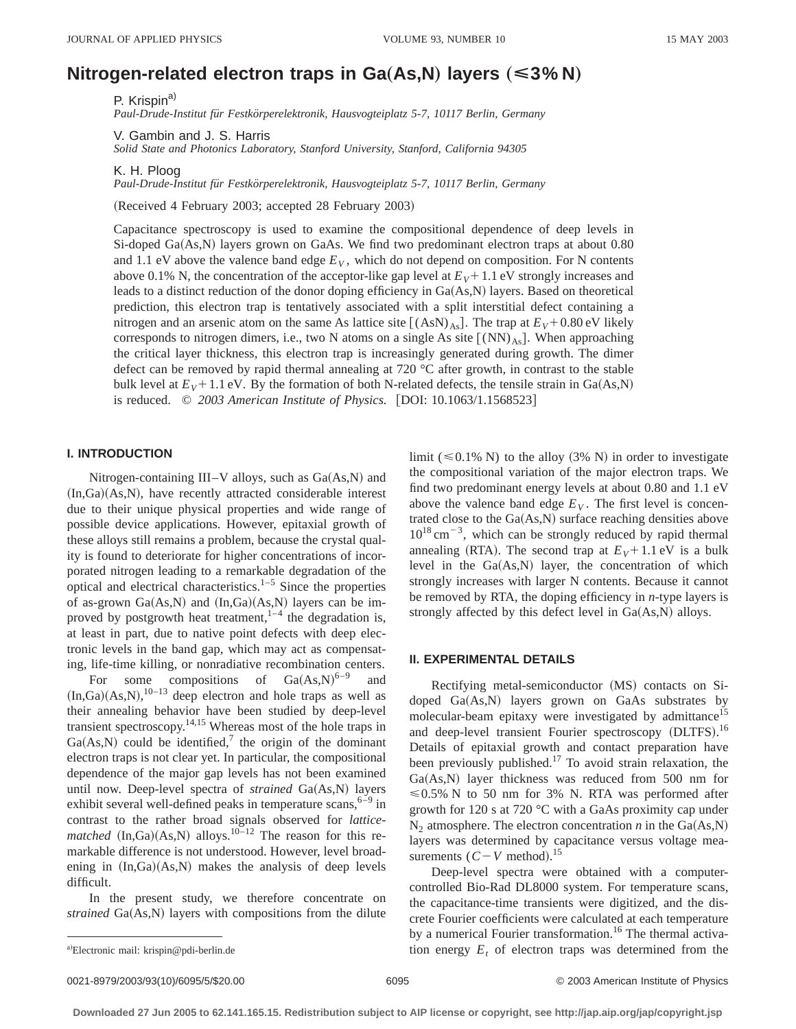# **Nitrogen-related electron traps in Ga(As,N) layers (** $\leq 3\%$  **N)**

P. Krispin<sup>a)</sup> *Paul-Drude-Institut fu¨r Festko¨rperelektronik, Hausvogteiplatz 5-7, 10117 Berlin, Germany*

V. Gambin and J. S. Harris

*Solid State and Photonics Laboratory, Stanford University, Stanford, California 94305*

K. H. Ploog

*Paul-Drude-Institut fu¨r Festko¨rperelektronik, Hausvogteiplatz 5-7, 10117 Berlin, Germany*

(Received 4 February 2003; accepted 28 February 2003)

Capacitance spectroscopy is used to examine the compositional dependence of deep levels in Si-doped  $Ga(As,N)$  layers grown on GaAs. We find two predominant electron traps at about 0.80 and 1.1 eV above the valence band edge  $E_V$ , which do not depend on composition. For N contents above 0.1% N, the concentration of the acceptor-like gap level at  $E_V + 1.1$  eV strongly increases and leads to a distinct reduction of the donor doping efficiency in  $Ga(As,N)$  layers. Based on theoretical prediction, this electron trap is tentatively associated with a split interstitial defect containing a nitrogen and an arsenic atom on the same As lattice site  $[(AsN)<sub>As</sub>].$  The trap at  $E_V + 0.80$  eV likely corresponds to nitrogen dimers, i.e., two N atoms on a single As site  $((NN)_{A_s}]$ . When approaching the critical layer thickness, this electron trap is increasingly generated during growth. The dimer defect can be removed by rapid thermal annealing at 720  $\degree$ C after growth, in contrast to the stable bulk level at  $E_V$ +1.1 eV. By the formation of both N-related defects, the tensile strain in Ga(As,N) is reduced. © 2003 American Institute of Physics. [DOI: 10.1063/1.1568523]

# **I. INTRODUCTION**

Nitrogen-containing III–V alloys, such as  $Ga(As,N)$  and  $(In,Ga)(As,N),$  have recently attracted considerable interest due to their unique physical properties and wide range of possible device applications. However, epitaxial growth of these alloys still remains a problem, because the crystal quality is found to deteriorate for higher concentrations of incorporated nitrogen leading to a remarkable degradation of the optical and electrical characteristics. $1-5$  Since the properties of as-grown  $Ga(As,N)$  and  $(In,Ga)(As,N)$  layers can be improved by postgrowth heat treatment,  $1-4$  the degradation is, at least in part, due to native point defects with deep electronic levels in the band gap, which may act as compensating, life-time killing, or nonradiative recombination centers.

For some compositions of  $Ga(As,N)^{6-9}$  and  $(In, Ga)(As, N),$ <sup>10-13</sup> deep electron and hole traps as well as their annealing behavior have been studied by deep-level transient spectroscopy.14,15 Whereas most of the hole traps in  $Ga(As,N)$  could be identified,<sup>7</sup> the origin of the dominant electron traps is not clear yet. In particular, the compositional dependence of the major gap levels has not been examined until now. Deep-level spectra of *strained* Ga(As,N) layers exhibit several well-defined peaks in temperature scans,  $6-9$  in contrast to the rather broad signals observed for *latticematched*  $(In,Ga)(As,N)$  alloys.<sup>10–12</sup> The reason for this remarkable difference is not understood. However, level broadening in  $(In,Ga)(As,N)$  makes the analysis of deep levels difficult.

In the present study, we therefore concentrate on *strained* Ga(As,N) layers with compositions from the dilute limit ( $\leq 0.1\%$  N) to the alloy (3% N) in order to investigate the compositional variation of the major electron traps. We find two predominant energy levels at about 0.80 and 1.1 eV above the valence band edge  $E_V$ . The first level is concentrated close to the  $Ga(As,N)$  surface reaching densities above  $10^{18}$  cm<sup>-3</sup>, which can be strongly reduced by rapid thermal annealing (RTA). The second trap at  $E_V$ +1.1 eV is a bulk level in the  $Ga(As,N)$  layer, the concentration of which strongly increases with larger N contents. Because it cannot be removed by RTA, the doping efficiency in *n*-type layers is strongly affected by this defect level in  $Ga(As,N)$  alloys.

## **II. EXPERIMENTAL DETAILS**

Rectifying metal-semiconductor (MS) contacts on Sidoped  $Ga(As,N)$  layers grown on  $GaAs$  substrates by molecular-beam epitaxy were investigated by admittance<sup>15</sup> and deep-level transient Fourier spectroscopy (DLTFS).<sup>16</sup> Details of epitaxial growth and contact preparation have been previously published.<sup>17</sup> To avoid strain relaxation, the  $Ga(As,N)$  layer thickness was reduced from 500 nm for  $\leq 0.5\%$  N to 50 nm for 3% N. RTA was performed after growth for 120 s at 720 °C with a GaAs proximity cap under  $N_2$  atmosphere. The electron concentration *n* in the Ga(As,N) layers was determined by capacitance versus voltage measurements  $(C-V \text{ method})$ .<sup>15</sup>

Deep-level spectra were obtained with a computercontrolled Bio-Rad DL8000 system. For temperature scans, the capacitance-time transients were digitized, and the discrete Fourier coefficients were calculated at each temperature by a numerical Fourier transformation.<sup>16</sup> The thermal activation energy  $E_t$  of electron traps was determined from the

0021-8979/2003/93(10)/6095/5/\$20.00 6095 6095 6095 6095 6095 609201-8979/2003/93(10)/6095/5/\$20.00

a)Electronic mail: krispin@pdi-berlin.de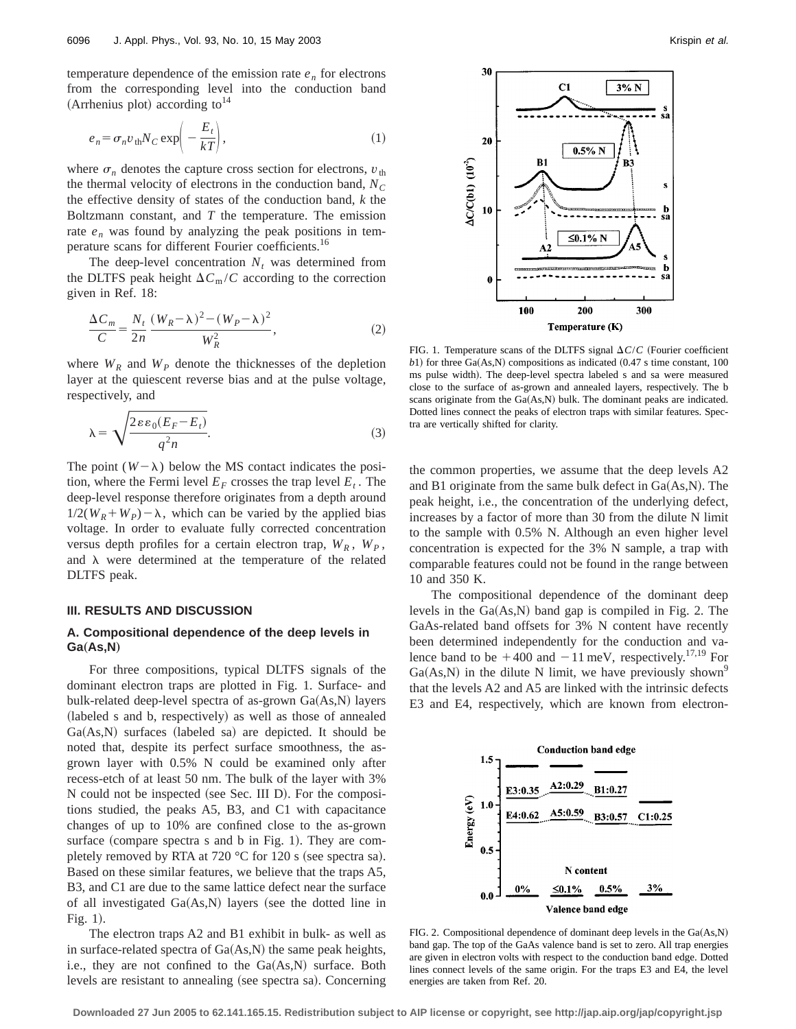temperature dependence of the emission rate  $e_n$  for electrons from the corresponding level into the conduction band (Arrhenius plot) according to  $14$ 

$$
e_n = \sigma_n v_{\text{th}} N_C \exp\left(-\frac{E_t}{kT}\right),\tag{1}
$$

where  $\sigma_n$  denotes the capture cross section for electrons,  $v_{\text{th}}$ the thermal velocity of electrons in the conduction band,  $N_C$ the effective density of states of the conduction band, *k* the Boltzmann constant, and *T* the temperature. The emission rate  $e_n$  was found by analyzing the peak positions in temperature scans for different Fourier coefficients.16

The deep-level concentration  $N_t$  was determined from the DLTFS peak height  $\Delta C_{\text{m}}/C$  according to the correction given in Ref. 18:

$$
\frac{\Delta C_m}{C} = \frac{N_t}{2n} \frac{(W_R - \lambda)^2 - (W_P - \lambda)^2}{W_R^2},\tag{2}
$$

where  $W_R$  and  $W_P$  denote the thicknesses of the depletion layer at the quiescent reverse bias and at the pulse voltage, respectively, and

$$
\lambda = \sqrt{\frac{2\varepsilon\varepsilon_0(E_F - E_t)}{q^2 n}}.
$$
\n(3)

The point  $(W - \lambda)$  below the MS contact indicates the position, where the Fermi level  $E_F$  crosses the trap level  $E_t$ . The deep-level response therefore originates from a depth around  $1/2(W_R+W_P)-\lambda$ , which can be varied by the applied bias voltage. In order to evaluate fully corrected concentration versus depth profiles for a certain electron trap,  $W_R$ ,  $W_P$ , and  $\lambda$  were determined at the temperature of the related DLTFS peak.

### **III. RESULTS AND DISCUSSION**

# **A. Compositional dependence of the deep levels in Ga(As,N)**

For three compositions, typical DLTFS signals of the dominant electron traps are plotted in Fig. 1. Surface- and bulk-related deep-level spectra of as-grown  $Ga(As,N)$  layers (labeled s and b, respectively) as well as those of annealed  $Ga(As,N)$  surfaces (labeled sa) are depicted. It should be noted that, despite its perfect surface smoothness, the asgrown layer with 0.5% N could be examined only after recess-etch of at least 50 nm. The bulk of the layer with 3% N could not be inspected (see Sec. III D). For the compositions studied, the peaks A5, B3, and C1 with capacitance changes of up to 10% are confined close to the as-grown surface (compare spectra s and b in Fig. 1). They are completely removed by RTA at 720  $^{\circ}$ C for 120 s (see spectra sa). Based on these similar features, we believe that the traps A5, B3, and C1 are due to the same lattice defect near the surface of all investigated  $Ga(As,N)$  layers (see the dotted line in Fig.  $1$ ).

The electron traps A2 and B1 exhibit in bulk- as well as in surface-related spectra of  $Ga(As,N)$  the same peak heights, i.e., they are not confined to the  $Ga(As,N)$  surface. Both levels are resistant to annealing (see spectra sa). Concerning



FIG. 1. Temperature scans of the DLTFS signal  $\Delta C/C$  (Fourier coefficient  $b$ 1) for three Ga(As,N) compositions as indicated  $(0.47 \text{ s time constant}, 100)$ ms pulse width). The deep-level spectra labeled s and sa were measured close to the surface of as-grown and annealed layers, respectively. The b scans originate from the  $Ga(As,N)$  bulk. The dominant peaks are indicated. Dotted lines connect the peaks of electron traps with similar features. Spectra are vertically shifted for clarity.

the common properties, we assume that the deep levels A2 and B1 originate from the same bulk defect in  $Ga(As,N)$ . The peak height, i.e., the concentration of the underlying defect, increases by a factor of more than 30 from the dilute N limit to the sample with 0.5% N. Although an even higher level concentration is expected for the 3% N sample, a trap with comparable features could not be found in the range between 10 and 350 K.

The compositional dependence of the dominant deep levels in the  $Ga(As,N)$  band gap is compiled in Fig. 2. The GaAs-related band offsets for 3% N content have recently been determined independently for the conduction and valence band to be  $+400$  and  $-11$  meV, respectively.<sup>17,19</sup> For  $Ga(As,N)$  in the dilute N limit, we have previously shown<sup>9</sup> that the levels A2 and A5 are linked with the intrinsic defects E3 and E4, respectively, which are known from electron-



FIG. 2. Compositional dependence of dominant deep levels in the  $Ga(As,N)$ band gap. The top of the GaAs valence band is set to zero. All trap energies are given in electron volts with respect to the conduction band edge. Dotted lines connect levels of the same origin. For the traps E3 and E4, the level energies are taken from Ref. 20.

**Downloaded 27 Jun 2005 to 62.141.165.15. Redistribution subject to AIP license or copyright, see http://jap.aip.org/jap/copyright.jsp**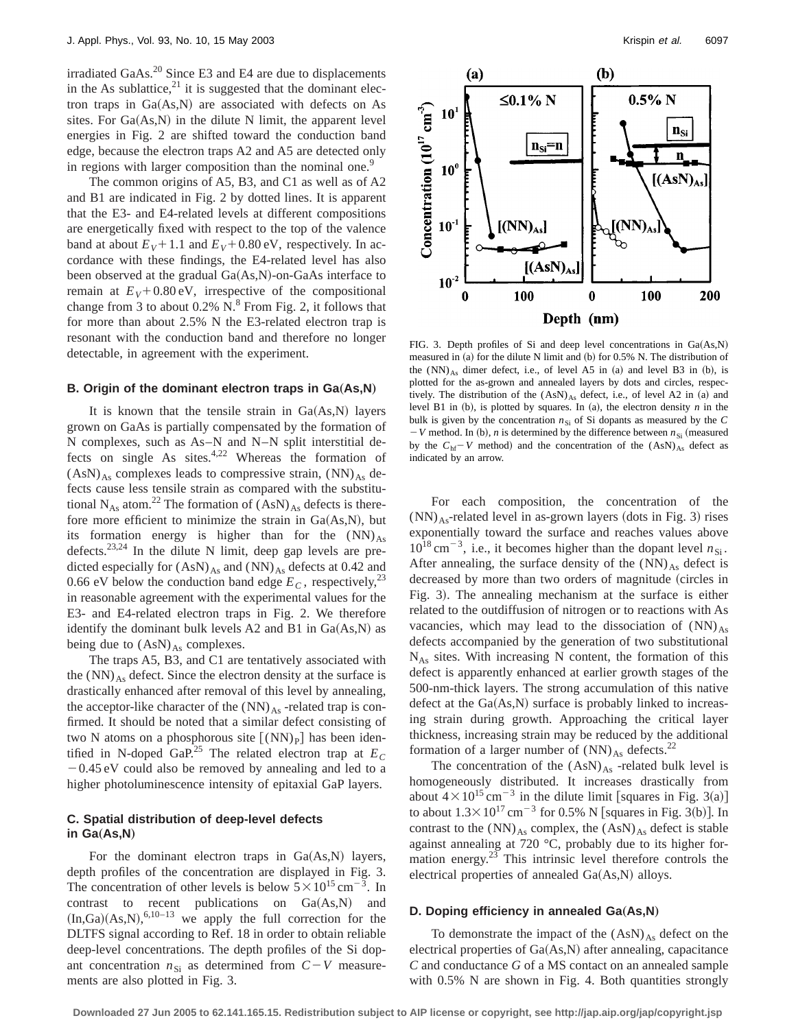irradiated GaAs. $^{20}$  Since E3 and E4 are due to displacements in the As sublattice, $^{21}$  it is suggested that the dominant electron traps in  $Ga(As,N)$  are associated with defects on As sites. For  $Ga(As,N)$  in the dilute N limit, the apparent level energies in Fig. 2 are shifted toward the conduction band edge, because the electron traps A2 and A5 are detected only in regions with larger composition than the nominal one.<sup>9</sup>

The common origins of A5, B3, and C1 as well as of A2 and B1 are indicated in Fig. 2 by dotted lines. It is apparent that the E3- and E4-related levels at different compositions are energetically fixed with respect to the top of the valence band at about  $E_V$ +1.1 and  $E_V$ +0.80 eV, respectively. In accordance with these findings, the E4-related level has also been observed at the gradual  $Ga(As,N)$ -on-GaAs interface to remain at  $E_V$ +0.80 eV, irrespective of the compositional change from 3 to about  $0.2\%$  N. $8$  From Fig. 2, it follows that for more than about 2.5% N the E3-related electron trap is resonant with the conduction band and therefore no longer detectable, in agreement with the experiment.

#### **B. Origin of the dominant electron traps in Ga(As,N)**

It is known that the tensile strain in  $Ga(As,N)$  layers grown on GaAs is partially compensated by the formation of N complexes, such as As–N and N–N split interstitial defects on single As sites. $4,22$  Whereas the formation of  $(AsN)_{As}$  complexes leads to compressive strain,  $(NN)_{As}$  defects cause less tensile strain as compared with the substitutional N<sub>As</sub> atom.<sup>22</sup> The formation of  $(AsN)_{As}$  defects is therefore more efficient to minimize the strain in  $Ga(As,N)$ , but its formation energy is higher than for the  $(NN)_{As}$ defects.<sup>23,24</sup> In the dilute N limit, deep gap levels are predicted especially for  $(AsN)_{As}$  and  $(NN)_{As}$  defects at 0.42 and 0.66 eV below the conduction band edge  $E_C$ , respectively,<sup>23</sup> in reasonable agreement with the experimental values for the E3- and E4-related electron traps in Fig. 2. We therefore identify the dominant bulk levels A2 and B1 in  $Ga(As,N)$  as being due to  $(AsN)_{As}$  complexes.

The traps A5, B3, and C1 are tentatively associated with the  $(NN)_{As}$  defect. Since the electron density at the surface is drastically enhanced after removal of this level by annealing, the acceptor-like character of the  $(NN)_{As}$  -related trap is confirmed. It should be noted that a similar defect consisting of two N atoms on a phosphorous site  $\lceil (NN)_P \rceil$  has been identified in N-doped GaP.<sup>25</sup> The related electron trap at  $E_C$  $-0.45$  eV could also be removed by annealing and led to a higher photoluminescence intensity of epitaxial GaP layers.

# **C. Spatial distribution of deep-level defects in Ga(As,N)**

For the dominant electron traps in  $Ga(As,N)$  layers, depth profiles of the concentration are displayed in Fig. 3. The concentration of other levels is below  $5 \times 10^{15}$  cm<sup>-3</sup>. In contrast to recent publications on  $Ga(As,N)$  and  $(In, Ga)(As, N),$ <sup>6,10–13</sup> we apply the full correction for the DLTFS signal according to Ref. 18 in order to obtain reliable deep-level concentrations. The depth profiles of the Si dopant concentration  $n_{Si}$  as determined from  $C-V$  measurements are also plotted in Fig. 3.



FIG. 3. Depth profiles of Si and deep level concentrations in  $Ga(As,N)$ measured in  $(a)$  for the dilute N limit and  $(b)$  for 0.5% N. The distribution of the  $(NN)_{As}$  dimer defect, i.e., of level A5 in (a) and level B3 in (b), is plotted for the as-grown and annealed layers by dots and circles, respectively. The distribution of the  $(AsN)_{As}$  defect, i.e., of level A2 in (a) and level B1 in  $(b)$ , is plotted by squares. In  $(a)$ , the electron density  $n$  in the bulk is given by the concentration  $n_{\rm Si}$  of Si dopants as measured by the  $C$  $-V$  method. In (b), *n* is determined by the difference between  $n_{Si}$  (measured by the  $C_{hf}$ <sup>-</sup> *V* method) and the concentration of the  $(AsN)_{As}$  defect as indicated by an arrow.

For each composition, the concentration of the  $(NN)_{As}$ -related level in as-grown layers (dots in Fig. 3) rises exponentially toward the surface and reaches values above  $10^{18}$  cm<sup>-3</sup>, i.e., it becomes higher than the dopant level  $n_{\rm Si}$ . After annealing, the surface density of the  $(NN)_{As}$  defect is decreased by more than two orders of magnitude (circles in Fig. 3). The annealing mechanism at the surface is either related to the outdiffusion of nitrogen or to reactions with As vacancies, which may lead to the dissociation of  $(NN)_{As}$ defects accompanied by the generation of two substitutional  $N_{As}$  sites. With increasing N content, the formation of this defect is apparently enhanced at earlier growth stages of the 500-nm-thick layers. The strong accumulation of this native defect at the  $Ga(As,N)$  surface is probably linked to increasing strain during growth. Approaching the critical layer thickness, increasing strain may be reduced by the additional formation of a larger number of  $(NN)_{As}$  defects.<sup>22</sup>

The concentration of the  $(AsN)_{As}$  -related bulk level is homogeneously distributed. It increases drastically from about  $4 \times 10^{15}$  cm<sup>-3</sup> in the dilute limit [squares in Fig. 3(a)] to about  $1.3 \times 10^{17}$  cm<sup>-3</sup> for 0.5% N [squares in Fig. 3(b)]. In contrast to the  $(NN)_{As}$  complex, the  $(AsN)_{As}$  defect is stable against annealing at 720 °C, probably due to its higher formation energy. $23$  This intrinsic level therefore controls the electrical properties of annealed  $Ga(As,N)$  alloys.

#### **D. Doping efficiency in annealed Ga(As,N)**

To demonstrate the impact of the  $(AsN)_{As}$  defect on the electrical properties of  $Ga(As,N)$  after annealing, capacitance *C* and conductance *G* of a MS contact on an annealed sample with 0.5% N are shown in Fig. 4. Both quantities strongly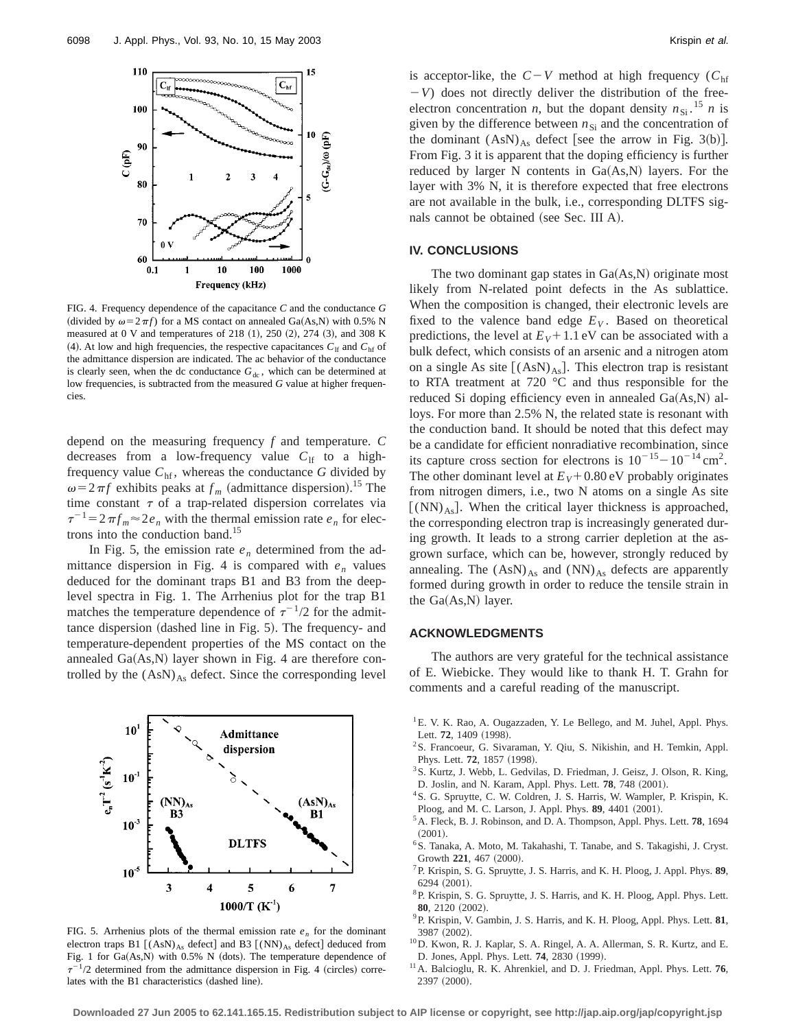

FIG. 4. Frequency dependence of the capacitance *C* and the conductance *G* (divided by  $\omega = 2 \pi f$ ) for a MS contact on annealed Ga(As,N) with 0.5% N measured at 0 V and temperatures of 218  $(1)$ , 250  $(2)$ , 274  $(3)$ , and 308 K  $(4)$ . At low and high frequencies, the respective capacitances  $C_{\text{lf}}$  and  $C_{\text{hf}}$  of the admittance dispersion are indicated. The ac behavior of the conductance is clearly seen, when the dc conductance  $G_{dc}$ , which can be determined at low frequencies, is subtracted from the measured *G* value at higher frequencies.

depend on the measuring frequency *f* and temperature. *C* decreases from a low-frequency value  $C_{\text{lf}}$  to a highfrequency value  $C<sub>hf</sub>$ , whereas the conductance *G* divided by  $\omega = 2 \pi f$  exhibits peaks at  $f_m$  (admittance dispersion).<sup>15</sup> The time constant  $\tau$  of a trap-related dispersion correlates via  $\tau^{-1} = 2 \pi f_m \approx 2 e_n$  with the thermal emission rate  $e_n$  for electrons into the conduction band.<sup>15</sup>

In Fig. 5, the emission rate  $e_n$  determined from the admittance dispersion in Fig. 4 is compared with  $e_n$  values deduced for the dominant traps B1 and B3 from the deeplevel spectra in Fig. 1. The Arrhenius plot for the trap B1 matches the temperature dependence of  $\tau^{-1/2}$  for the admittance dispersion (dashed line in Fig. 5). The frequency- and temperature-dependent properties of the MS contact on the annealed  $Ga(As,N)$  layer shown in Fig. 4 are therefore controlled by the  $(AsN)_{As}$  defect. Since the corresponding level



FIG. 5. Arrhenius plots of the thermal emission rate  $e_n$  for the dominant electron traps B1  $[(AsN)<sub>As</sub> defect]$  and B3  $[(NN)<sub>As</sub> defect]$  deduced from Fig. 1 for  $Ga(As,N)$  with 0.5% N (dots). The temperature dependence of  $\tau^{-1/2}$  determined from the admittance dispersion in Fig. 4 (circles) correlates with the  $B1$  characteristics  $(dashed line)$ .

is acceptor-like, the  $C-V$  method at high frequency ( $C<sub>hf</sub>$  $-V$ ) does not directly deliver the distribution of the freeelectron concentration *n*, but the dopant density  $n_{Si}$ .<sup>15</sup> *n* is given by the difference between  $n_{\rm Si}$  and the concentration of the dominant  $(AsN)_{As}$  defect [see the arrow in Fig. 3(b)]. From Fig. 3 it is apparent that the doping efficiency is further reduced by larger N contents in  $Ga(As,N)$  layers. For the layer with 3% N, it is therefore expected that free electrons are not available in the bulk, i.e., corresponding DLTFS signals cannot be obtained (see Sec. III A).

## **IV. CONCLUSIONS**

The two dominant gap states in  $Ga(As,N)$  originate most likely from N-related point defects in the As sublattice. When the composition is changed, their electronic levels are fixed to the valence band edge  $E_V$ . Based on theoretical predictions, the level at  $E_V$ +1.1 eV can be associated with a bulk defect, which consists of an arsenic and a nitrogen atom on a single As site  $[(AsN)<sub>As</sub>].$  This electron trap is resistant to RTA treatment at 720 °C and thus responsible for the reduced Si doping efficiency even in annealed  $Ga(As,N)$  alloys. For more than 2.5% N, the related state is resonant with the conduction band. It should be noted that this defect may be a candidate for efficient nonradiative recombination, since its capture cross section for electrons is  $10^{-15} - 10^{-14}$  cm<sup>2</sup>. The other dominant level at  $E_V$ +0.80 eV probably originates from nitrogen dimers, i.e., two N atoms on a single As site  $[(NN)_{As}]$ . When the critical layer thickness is approached, the corresponding electron trap is increasingly generated during growth. It leads to a strong carrier depletion at the asgrown surface, which can be, however, strongly reduced by annealing. The  $(AsN)_{As}$  and  $(NN)_{As}$  defects are apparently formed during growth in order to reduce the tensile strain in the  $Ga(As,N)$  layer.

## **ACKNOWLEDGMENTS**

The authors are very grateful for the technical assistance of E. Wiebicke. They would like to thank H. T. Grahn for comments and a careful reading of the manuscript.

- <sup>1</sup>E. V. K. Rao, A. Ougazzaden, Y. Le Bellego, and M. Juhel, Appl. Phys. Lett. 72, 1409 (1998).
- <sup>2</sup>S. Francoeur, G. Sivaraman, Y. Qiu, S. Nikishin, and H. Temkin, Appl. Phys. Lett. **72**, 1857 (1998).
- <sup>3</sup> S. Kurtz, J. Webb, L. Gedvilas, D. Friedman, J. Geisz, J. Olson, R. King, D. Joslin, and N. Karam, Appl. Phys. Lett. **78**, 748 (2001).
- 4S. G. Spruytte, C. W. Coldren, J. S. Harris, W. Wampler, P. Krispin, K. Ploog, and M. C. Larson, J. Appl. Phys. 89, 4401 (2001).
- 5A. Fleck, B. J. Robinson, and D. A. Thompson, Appl. Phys. Lett. **78**, 1694  $(2001).$
- 6S. Tanaka, A. Moto, M. Takahashi, T. Tanabe, and S. Takagishi, J. Cryst. Growth 221, 467 (2000).
- 7P. Krispin, S. G. Spruytte, J. S. Harris, and K. H. Ploog, J. Appl. Phys. **89**,  $6294 (2001)$ .
- <sup>8</sup>P. Krispin, S. G. Spruytte, J. S. Harris, and K. H. Ploog, Appl. Phys. Lett. 80, 2120 (2002).
- 9P. Krispin, V. Gambin, J. S. Harris, and K. H. Ploog, Appl. Phys. Lett. **81**, 3987 (2002).
- 10D. Kwon, R. J. Kaplar, S. A. Ringel, A. A. Allerman, S. R. Kurtz, and E. D. Jones, Appl. Phys. Lett. **74**, 2830 (1999).
- 11A. Balcioglu, R. K. Ahrenkiel, and D. J. Friedman, Appl. Phys. Lett. **76**, 2397 (2000).

**Downloaded 27 Jun 2005 to 62.141.165.15. Redistribution subject to AIP license or copyright, see http://jap.aip.org/jap/copyright.jsp**